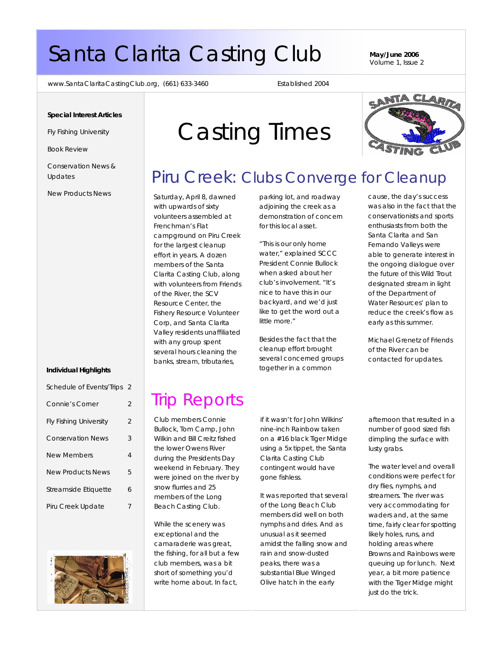# Santa Clarita Casting Club **May/June 2006**

Volume 1, Issue 2

www.SantaClaritaCastingClub.org, (661) 633-3460 Established 2004

#### **Special Interest Articles**

Fly Fishing University

Book Review

Conservation News & Updates

New Products News

#### **Individual Highlights**

| Schedule of Events/Trips      | - 2 |
|-------------------------------|-----|
| <b>Connie's Corner</b>        | 2   |
| <b>Fly Fishing University</b> | 2   |
| <b>Conservation News</b>      | 3   |
| New Members                   | 4   |
| <b>New Products News</b>      | 5   |
| Streamside Etiquette          | 6   |
| Piru Creek Update             |     |



# Casting Times

## Piru Creek: Clubs Converge for Cleanup

Saturday, April 8, dawned with upwards of sixty volunteers assembled at Frenchman's Flat campground on Piru Creek for the largest cleanup effort in years. A dozen members of the Santa Clarita Casting Club, along with volunteers from Friends of the River, the SCV Resource Center, the Fishery Resource Volunteer Corp, and Santa Clarita Valley residents unaffiliated with any group spent several hours cleaning the banks, stream, tributaries,

parking lot, and roadway adjoining the creek as a demonstration of concern for this local asset.

"This is our only home water," explained SCCC President Connie Bullock when asked about her club's involvement. "It's nice to have this in our backyard, and we'd just like to get the word out a little more."

Besides the fact that the cleanup effort brought several concerned groups together in a common

cause, the day's success was also in the fact that the conservationists and sports enthusiasts from both the Santa Clarita and San Fernando Valleys were able to generate interest in the ongoing dialogue over the future of this Wild Trout designated stream in light of the Department of Water Resources' plan to reduce the creek's flow as early as this summer.

Michael Grenetz of Friends of the River can be contacted for updates.

# Trip Reports

Club members Connie Bullock, Tom Camp, John Wilkin and Bill Creitz fished the lower Owens River during the Presidents Day weekend in February. They were joined on the river by snow flurries and 25 members of the Long Beach Casting Club.

While the scenery was exceptional and the camaraderie was great, the fishing, for all but a few club members, was a bit short of something you'd write home about. In fact,

if it wasn't for John Wilkins' nine-inch Rainbow taken on a #16 black Tiger Midge using a 5x tippet, the Santa Clarita Casting Club contingent would have gone fishless.

It was reported that several of the Long Beach Club members did well on both nymphs and dries. And as unusual as it seemed amidst the falling snow and rain and snow-dusted peaks, there was a substantial Blue Winged Olive hatch in the early

afternoon that resulted in a number of good sized fish dimpling the surface with lusty grabs.

The water level and overall conditions were perfect for dry flies, nymphs, and streamers. The river was very accommodating for waders and, at the same time, fairly clear for spotting likely holes, runs, and holding areas where Browns and Rainbows were queuing up for lunch. Next year, a bit more patience with the Tiger Midge might just do the trick.

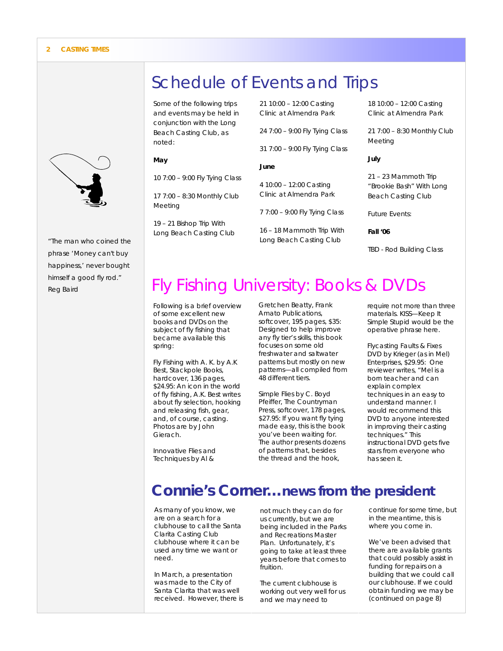

*"The man who coined the phrase 'Money can't buy happiness,' never bought himself a good fly rod." Reg Baird* 

# Schedule of Events and Trips

Some of the following trips and events may be held in conjunction with the Long Beach Casting Club, as noted:

#### **May**

10 7:00 – 9:00 Fly Tying Class

17 7:00 – 8:30 Monthly Club Meeting

19 – 21 Bishop Trip With Long Beach Casting Club 21 10:00 – 12:00 Casting Clinic at Almendra Park

24 7:00 – 9:00 Fly Tying Class

31 7:00 – 9:00 Fly Tying Class

#### **June**

4 10:00 – 12:00 Casting Clinic at Almendra Park

7 7:00 – 9:00 Fly Tying Class

16 – 18 Mammoth Trip With Long Beach Casting Club

18 10:00 – 12:00 Casting Clinic at Almendra Park

21 7:00 – 8:30 Monthly Club Meeting

#### **July**

21 – 23 Mammoth Trip "Brookie Bash" With Long Beach Casting Club

Future Events:

**Fall '06** 

TBD - Rod Building Class

# Fly Fishing University: Books & DVDs

Following is a brief overview of some excellent new books and DVDs on the subject of fly fishing that became available this spring:

*Fly Fishing with A. K*. by A.K Best, Stackpole Books, hardcover, 136 pages, \$24.95: An icon in the world of fly fishing, A.K. Best writes about fly selection, hooking and releasing fish, gear, and, of course, casting. Photos are by John Gierach.

*Innovative Flies and Techniques* by Al &

Gretchen Beatty, Frank Amato Publications, softcover, 195 pages, \$35: Designed to help improve any fly tier's skills, this book focuses on some old freshwater and saltwater patterns but mostly on new patterns—all compiled from 48 different tiers.

*Simple Flies* by C. Boyd Pfeiffer, The Countryman Press, softcover, 178 pages, \$27.95: If you want fly tying made easy, this is the book you've been waiting for. The author presents dozens of patterns that, besides the thread and the hook,

require not more than three materials. KISS—Keep It Simple Stupid would be the operative phrase here.

*Flycasting Faults & Fixes* DVD by Krieger (as in Mel) Enterprises, \$29.95: One reviewer writes, "Mel is a born teacher and can explain complex techniques in an easy to understand manner. I would recommend this DVD to anyone interested in improving their casting techniques." This instructional DVD gets five stars from everyone who has seen it.

### **Connie's Corner…news from the president**

As many of you know, we are on a search for a clubhouse to call the Santa Clarita Casting Club clubhouse where it can be used any time we want or need.

In March, a presentation was made to the City of Santa Clarita that was well received. However, there is not much they can do for us currently, but we are being included in the Parks and Recreations Master Plan. Unfortunately, it's going to take at least three years before that comes to fruition.

The current clubhouse is working out very well for us and we may need to

continue for some time, but in the meantime, this is where you come in.

We've been advised that there are available grants that could possibly assist in funding for repairs on a building that we could call our clubhouse. If we could obtain funding we may be *(continued on page 8)*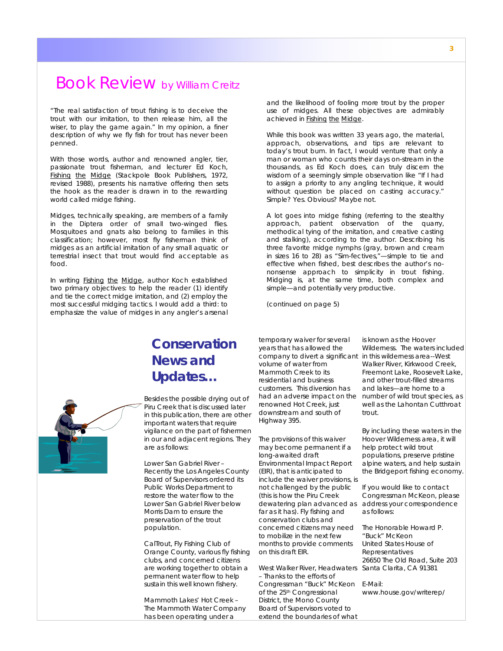### Book Review by William Creitz

"The real satisfaction of trout fishing is to deceive the trout with our imitation, to then release him, all the wiser, to play the game again." In my opinion, a finer description of why we fly fish for trout has never been penned.

With those words, author and renowned angler, tier, passionate trout fisherman, and lecturer Ed Koch, Fishing the Midge (Stackpole Book Publishers, 1972, revised 1988), presents his narrative offering then sets the hook as the reader is drawn in to the rewarding world called midge fishing.

Midges, technically speaking, are members of a family in the Diptera order of small two-winged flies. Mosquitoes and gnats also belong to families in this classification; however, most fly fisherman think of midges as an artificial imitation of any small aquatic or terrestrial insect that trout would find acceptable as food.

In writing Fishing the Midge, author Koch established two primary objectives: to help the reader (1) identify and tie the correct midge imitation, and (2) employ the most successful midging tactics. I would add a third: to emphasize the value of midges in any angler's arsenal

and the likelihood of fooling more trout by the proper use of midges. All these objectives are admirably achieved in Fishing the Midge.

While this book was written 33 years ago, the material, approach, observations, and tips are relevant to today's trout bum. In fact, I would venture that only a man or woman who counts their days on-stream in the thousands, as Ed Koch does, can truly discern the wisdom of a seemingly simple observation like "If I had to assign a priority to any angling technique, it would without question be placed on casting accuracy." Simple? Yes. Obvious? Maybe not.

A lot goes into midge fishing (referring to the stealthy approach, patient observation of the quarry, methodical tying of the imitation, and creative casting and stalking), according to the author. Describing his three favorite midge nymphs (gray, brown and cream in sizes 16 to 28) as "Sim-fectives,"—*simple* to tie and *effective* when fished, best describes the author's nononsense approach to simplicity in trout fishing. Midging is, at the same time, both complex and simple—and potentially very productive.

*(continued on page 5)* 

### **Conservation News and Updates…**

Besides the possible drying out of Piru Creek that is discussed later in this publication, there are other important waters that require vigilance on the part of fishermen in our and adjacent regions. They are as follows:

Lower San Gabriel River – Recently the Los Angeles County Board of Supervisors ordered its Public Works Department to restore the water flow to the Lower San Gabriel River below Morris Dam to ensure the preservation of the trout population.

CalTrout, Fly Fishing Club of Orange County, various fly fishing clubs, and concerned citizens are working together to obtain a permanent water flow to help sustain this well known fishery.

Mammoth Lakes' Hot Creek – The Mammoth Water Company has been operating under a

temporary waiver for several years that has allowed the company to divert a significant in this wilderness area--West volume of water from Mammoth Creek to its residential and business customers. This diversion has had an adverse impact on the renowned Hot Creek, just downstream and south of Highway 395.

The provisions of this waiver may become permanent if a long-awaited draft Environmental Impact Report (EIR), that is anticipated to include the waiver provisions, is not challenged by the public (this is how the Piru Creek dewatering plan advanced as far as it has). Fly fishing and conservation clubs and concerned citizens may need to mobilize in the next few months to provide comments on this draft EIR.

– Thanks to the efforts of Congressman "Buck" McKeon E-Mail: of the 25th Congressional District, the Mono County Board of Supervisors voted to extend the boundaries of what

is known as the Hoover Wilderness. The waters included Walker River, Kirkwood Creek, Freemont Lake, Roosevelt Lake, and other trout-filled streams and lakes—are home to a number of wild trout species, as well as the Lahontan Cutthroat trout.

By including these waters in the Hoover Wilderness area, it will help protect wild trout populations, preserve pristine alpine waters, and help sustain the Bridgeport fishing economy.

If you would like to contact Congressman McKeon, please address your correspondence as follows:

West Walker River, Headwaters Santa Clarita, CA 91381 The Honorable Howard P. "Buck" McKeon United States House of Representatives 26650 The Old Road, Suite 203

www.house.gov/writerep/

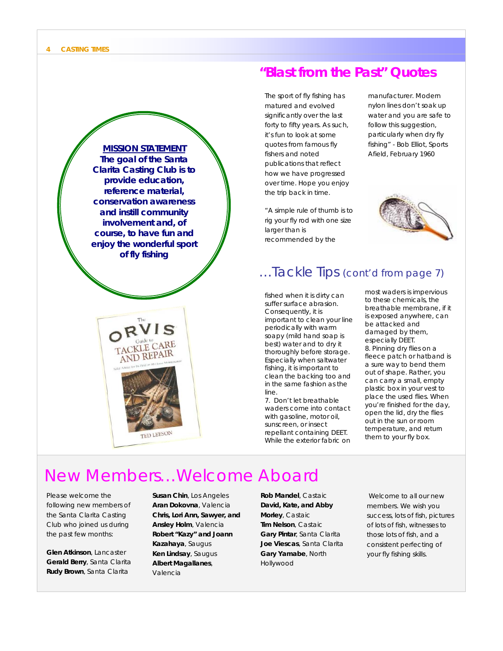

### **"Blast from the Past" Quotes**

The sport of fly fishing has matured and evolved significantly over the last forty to fifty years. As such, it's fun to look at some quotes from famous fly fishers and noted publications that reflect how we have progressed over time. Hope you enjoy the trip back in time.

"A simple rule of thumb is to rig your fly rod with one size larger than is recommended by the

manufacturer. Modern nylon lines don't soak up water and you are safe to follow this suggestion, particularly when dry fly fishing" - Bob Elliot, Sports



### …Tackle Tips (cont'd from page 7)

fished when it is dirty can suffer surface abrasion. Consequently, it is important to clean your line periodically with warm soapy (mild hand soap is best) water and to dry it thoroughly before storage. Especially when saltwater fishing, it is important to clean the backing too and in the same fashion as the line.

7. Don't let breathable waders come into contact with gasoline, motor oil, sunscreen, or insect repellant containing DEET. While the exterior fabric on most waders is impervious to these chemicals, the breathable membrane, if it is exposed anywhere, can be attacked and damaged by them, especially DEET. 8. Pinning dry flies on a fleece patch or hatband is a sure way to bend them out of shape. Rather, you can carry a small, empty plastic box in your vest to place the used flies. When you're finished for the day, open the lid, dry the flies out in the sun or room temperature, and return them to your fly box.

# New Members…Welcome Aboard

Please welcome the following new members of the Santa Clarita Casting Club who joined us during the past few months:

**Glen Atkinson**, Lancaster **Gerald Berry**, Santa Clarita **Rudy Brown**, Santa Clarita

**Susan Chin**, Los Angeles **Aran Dokovna**, Valencia **Chris, Lori Ann, Sawyer, and Ansley Holm**, Valencia **Robert "Kazy" and Joann Kazahaya**, Saugus **Ken Lindsay**, Saugus **Albert Magallanes**, Valencia

**Rob Mandel**, Castaic **David, Kate, and Abby Morley**, Castaic **Tim Nelson**, Castaic **Gary Pintar**, Santa Clarita **Joe Viescas**, Santa Clarita **Gary Yamabe**, North Hollywood

 Welcome to all our new members. We wish you success, lots of fish, pictures of lots of fish, witnesses to those lots of fish, and a consistent perfecting of your fly fishing skills.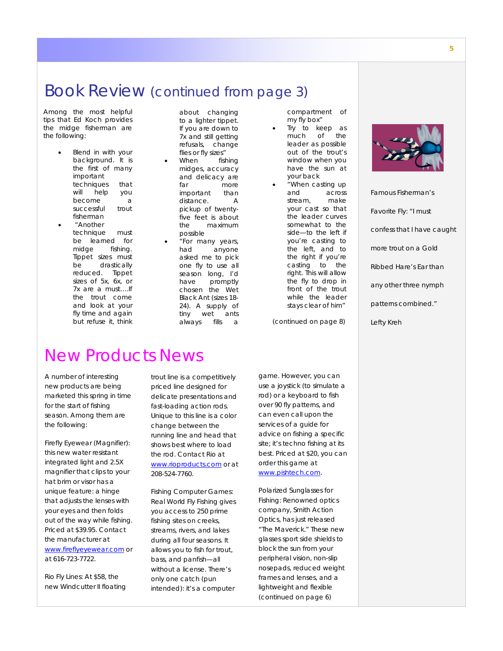### Book Review (continued from page 3)

Among the most helpful tips that Ed Koch provides the midge fisherman are the following:

- Blend in with your background. It is the first of many important techniques that will help you become a successful trout fisherman
	- "Another technique must be learned for midge fishing. Tippet sizes must be drastically reduced. Tippet sizes of 5x, 6x, or 7x are a must….If the trout come and look at your fly time and again but refuse it, think

about changing to a lighter tippet. If you are down to 7x and still getting refusals, change flies or fly sizes"

- When fishing midges, accuracy and delicacy are far more important than distance. A pickup of twentyfive feet is about the maximum possible
- "For many years, had anyone asked me to pick one fly to use all season long, I'd have promptly chosen the Wet Black Ant (sizes 18- 24). A supply of tiny wet ants always fills a

compartment of my fly box"

• Try to keep as much of the leader as possible out of the trout's window when you have the sun at your back

• "When casting up and across stream, make your cast so that the leader curves somewhat to the side—to the left if you're casting to the left, and to the right if you're casting to the right. This will allow the fly to drop in front of the trout while the leader stays clear of him"

*(continued on page 8)* 



*Famous Fisherman's Favorite Fly: "I must confess that I have caught more trout on a Gold Ribbed Hare's Ear than any other three nymph patterns combined." Lefty Kreh* 

### New Products News

A number of interesting new products are being marketed this spring in time for the start of fishing season. Among them are the following:

Firefly Eyewear (Magnifier): this new water resistant integrated light and 2.5X magnifier that clips to your hat brim or visor has a unique feature: a hinge that adjusts the lenses with your eyes and then folds out of the way while fishing. Priced at \$39.95. Contact the manufacturer at www.fireflyeyewear.com or at 616-723-7722.

Rio Fly Lines: At \$58, the new Windcutter II floating trout line is a competitively priced line designed for delicate presentations and fast-loading action rods. Unique to this line is a color change between the running line and head that shows best where to load the rod. Contact Rio at www.rioproducts.com or at 208-524-7760.

Fishing Computer Games: *Real World Fly Fishing* gives you access to 250 prime fishing sites on creeks, streams, rivers, and lakes during all four seasons. It allows you to fish for trout, bass, and panfish—all without a license. There's only one catch (pun intended): it's a computer

game. However, you can use a joystick (to simulate a rod) or a keyboard to fish over 90 fly patterns, and can even call upon the services of a guide for advice on fishing a specific site; it's techno fishing at its best. Priced at \$20, you can order this game at www.pishtech.com.

Polarized Sunglasses for Fishing: Renowned optics company, Smith Action Optics, has just released "The Maverick." These new glasses sport side shields to block the sun from your peripheral vision, non-slip nosepads, reduced weight frames and lenses, and a lightweight and flexible *(continued on page 6)*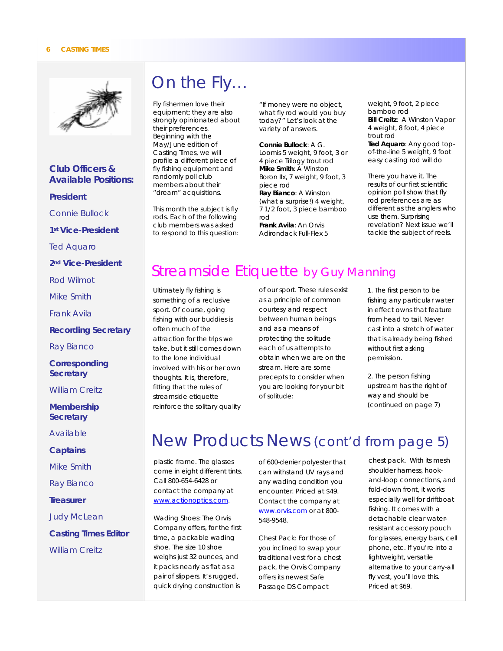#### **6 CASTING TIMES**



*Club Officers & Available Positions:* 

#### *President*

*Connie Bullock* 

*1st Vice-President* 

*Ted Aquaro* 

*2nd Vice-President* 

*Rod Wilmot* 

*Mike Smith* 

*Frank Avila* 

*Recording Secretary* 

*Ray Bianco* 

*Corresponding Secretary* 

*William Creitz* 

*Membership Secretary* 

*Available* 

*Captains* 

*Mike Smith* 

*Ray Bianco* 

*Treasurer* 

*Judy McLean* 

*Casting Times Editor William Creitz* 

# On the Fly…

Fly fishermen love their equipment; they are also strongly opinionated about their preferences. Beginning with the May/June edition of Casting Times, we will profile a different piece of fly fishing equipment and randomly poll club members about their "dream" acquisitions.

This month the subject is fly rods. Each of the following club members was asked to respond to this question:

"If money were no object, what fly rod would you buy today?" Let's look at the variety of answers.

*Connie Bullock*: A G. Loomis 5 weight, 9 foot, 3 or 4 piece Trilogy trout rod *Mike Smith*: A Winston Boron IIx, 7 weight, 9 foot, 3 piece rod *Ray Bianco*: A Winston (what a surprise!) 4 weight, 7 1/2 foot, 3 piece bamboo rod

*Frank Avila*: An Orvis Adirondack Full-Flex 5 weight, 9 foot, 2 piece bamboo rod *Bill Creitz*: A Winston Vapor 4 weight, 8 foot, 4 piece trout rod *Ted Aquaro*: Any good topof-the-line 5 weight, 9 foot easy casting rod will do

There you have it. The results of our first scientific opinion poll show that fly rod preferences are as different as the anglers who use them. Surprising revelation? Next issue we'll tackle the subject of reels.

## Streamside Etiquette by Guy Manning

Ultimately fly fishing is something of a reclusive sport. Of course, going fishing with our buddies is often much of the attraction for the trips we take, but it still comes down to the lone individual involved with his or her own thoughts. It is, therefore, fitting that the rules of streamside etiquette reinforce the solitary quality

of our sport. These rules exist as a principle of common courtesy and respect between human beings and as a means of protecting the solitude each of us attempts to obtain when we are on the stream. Here are some precepts to consider when you are looking for your bit of solitude:

1. The first person to be fishing any particular water in effect owns that feature from head to tail. Never cast into a stretch of water that is already being fished without first asking permission.

2. The person fishing upstream has the right of way and should be *(continued on page 7)*

# New Products News (cont'd from page 5)

plastic frame. The glasses come in eight different tints. Call 800-654-6428 or contact the company at www.actionoptics.com.

Wading Shoes: The Orvis Company offers, for the first time, a packable wading shoe. The size 10 shoe weighs just 32 ounces, and it packs nearly as flat as a pair of slippers. It's rugged, quick drying construction is

of 600-denier polyester that can withstand UV rays and any wading condition you encounter. Priced at \$49. Contact the company at www.orvis.com or at 800- 548-9548.

Chest Pack: For those of you inclined to swap your traditional vest for a chest pack, the Orvis Company offers its newest Safe Passage DS Compact

chest pack. With its mesh shoulder harness, hookand-loop connections, and fold-down front, it works especially well for driftboat fishing. It comes with a detachable clear waterresistant accessory pouch for glasses, energy bars, cell phone, etc. If you're into a lightweight, versatile alternative to your carry-all fly vest, you'll love this. Priced at \$69.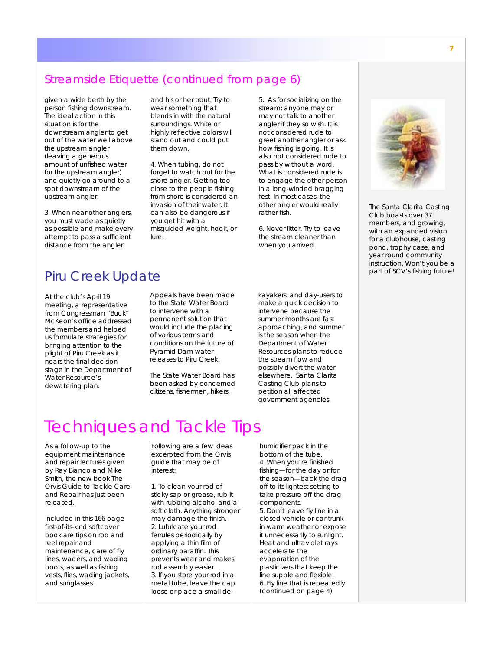### Streamside Etiquette (continued from page 6)

given a wide berth by the person fishing downstream. The ideal action in this situation is for the downstream angler to get out of the water well above the upstream angler (leaving a generous amount of unfished water for the upstream angler) and quietly go around to a spot downstream of the upstream angler.

3. When near other anglers, you must wade as quietly as possible and make every attempt to pass a sufficient distance from the angler

and his or her trout. Try to wear something that blends in with the natural surroundings. White or highly reflective colors will stand out and could put them down.

4. When tubing, do not forget to watch out for the shore angler. Getting too close to the people fishing from shore is considered an invasion of their water. It can also be dangerous if you get hit with a misguided weight, hook, or lure.

5. As for socializing on the stream: anyone may or may not talk to another angler if they so wish. It is not considered rude to greet another angler or ask how fishing is going. It is also not considered rude to pass by without a word. What is considered rude is to engage the other person in a long-winded bragging fest. In most cases, the other angler would really rather fish.

6. Never litter. Try to leave the stream cleaner than when you arrived.



*The Santa Clarita Casting Club boasts over 37 members, and growing, with an expanded vision for a clubhouse, casting pond, trophy case, and year round community instruction. Won't you be a part of SCV's fishing future!* 

### Piru Creek Update

At the club's April 19 meeting, a representative from Congressman "Buck" McKeon's office addressed the members and helped us formulate strategies for bringing attention to the plight of Piru Creek as it nears the final decision stage in the Department of Water Resource's dewatering plan.

Appeals have been made to the State Water Board to intervene with a permanent solution that would include the placing of various terms and conditions on the future of Pyramid Dam water releases to Piru Creek.

The State Water Board has been asked by concerned citizens, fishermen, hikers,

kayakers, and day-users to make a quick decision to intervene because the summer months are fast approaching, and summer is the season when the Department of Water Resources plans to reduce the stream flow and possibly divert the water elsewhere. Santa Clarita Casting Club plans to petition all affected government agencies.

# Techniques and Tackle Tips

As a follow-up to the equipment maintenance and repair lectures given by Ray Bianco and Mike Smith, the new book *The Orvis Guide to Tackle Care and Repair* has just been released.

Included in this 166 page first-of-its-kind softcover book are tips on rod and reel repair and maintenance, care of fly lines, waders, and wading boots, as well as fishing vests, flies, wading jackets, and sunglasses.

Following are a few ideas excerpted from the Orvis guide that may be of interest:

1. To clean your rod of sticky sap or grease, rub it with rubbing alcohol and a soft cloth. Anything stronger may damage the finish. 2. Lubricate your rod ferrules periodically by applying a thin film of ordinary paraffin. This prevents wear and makes rod assembly easier. 3. If you store your rod in a metal tube, leave the cap loose or place a small dehumidifier pack in the bottom of the tube. 4. When you're finished fishing—for the day or for the season—back the drag off to its lightest setting to take pressure off the drag components. 5. Don't leave fly line in a closed vehicle or car trunk in warm weather or expose it unnecessarily to sunlight. Heat and ultraviolet rays accelerate the evaporation of the plasticizers that keep the line supple and flexible. 6. Fly line that is repeatedly *(continued on page 4)*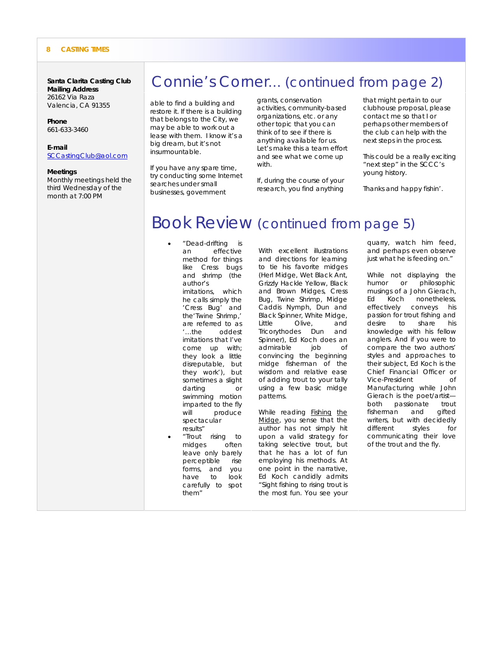#### **8 CASTING TIMES**

**Santa Clarita Casting Club Mailing Address**  26162 Via Raza Valencia, CA 91355

#### **Phone**

661-633-3460

#### **E-mail**

SCCastingClub@aol.com

#### **Meetings**

Monthly meetings held the third Wednesday of the month at 7:00 PM

### Connie's Corner… (continued from page 2)

able to find a building and restore it. If there is a building that belongs to the City, we may be able to work out a lease with them. I know it's a big dream, but it's not insurmountable.

If you have any spare time, try conducting some Internet searches under small businesses, government

grants, conservation activities, community-based organizations, etc. or any other topic that you can think of to see if there is anything available for us. Let's make this a team effort and see what we come up with.

If, during the course of your research, you find anything

that might pertain to our clubhouse proposal, please contact me so that I or perhaps other members of the club can help with the next steps in the process.

This could be a really exciting "next step" in the SCCC's young history.

Thanks and happy fishin'.

### Book Review (continued from page 5)

- "Dead-drifting is an effective method for things like Cress bugs and shrimp (the author's imitations, which he calls simply the 'Cress Bug' and the'Twine Shrimp,' are referred to as '…the oddest imitations that I've come up with; they look a little disreputable, but they work'), but sometimes a slight darting or swimming motion imparted to the fly will produce spectacular results" • "Trout rising to midges often
- leave only barely perceptible rise forms, and you have to look carefully to spot them"

With excellent illustrations and directions for learning to tie his favorite midges (Herl Midge, Wet Black Ant, Grizzly Hackle Yellow, Black and Brown Midges, Cress Bug, Twine Shrimp, Midge Caddis Nymph, Dun and Black Spinner, White Midge, Little Olive, and Tricorythodes Dun and Spinner), Ed Koch does an admirable job of convincing the beginning midge fisherman of the wisdom and relative ease of adding trout to your tally using a few basic midge patterns.

While reading **Fishing** the Midge, you sense that the author has not simply hit upon a valid strategy for taking selective trout, but that he has a lot of fun employing his methods. At one point in the narrative, Ed Koch candidly admits "Sight fishing to rising trout is the most fun. You see your

quarry, watch him feed, and perhaps even observe just what he is feeding on."

While not displaying the humor or philosophic musings of a John Gierach, Ed Koch nonetheless, effectively conveys his passion for trout fishing and desire to share his knowledge with his fellow anglers. And if you were to compare the two authors' styles and approaches to their subject, Ed Koch is the Chief Financial Officer or Vice-President of Manufacturing while John Gierach is the poet/artist both passionate trout<br>fisherman and gifted fisherman and writers, but with decidedly different styles for communicating their love of the trout and the fly.